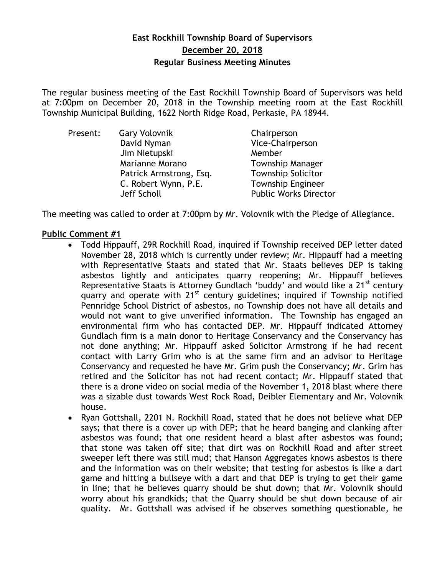# **East Rockhill Township Board of Supervisors December 20, 2018 Regular Business Meeting Minutes**

The regular business meeting of the East Rockhill Township Board of Supervisors was held at 7:00pm on December 20, 2018 in the Township meeting room at the East Rockhill Township Municipal Building, 1622 North Ridge Road, Perkasie, PA 18944.

| Present: | <b>Gary Volovnik</b>    | Chairperson                  |
|----------|-------------------------|------------------------------|
|          | David Nyman             | Vice-Chairperson             |
|          | Jim Nietupski           | Member                       |
|          | Marianne Morano         | <b>Township Manager</b>      |
|          | Patrick Armstrong, Esq. | <b>Township Solicitor</b>    |
|          | C. Robert Wynn, P.E.    | <b>Township Engineer</b>     |
|          | Jeff Scholl             | <b>Public Works Director</b> |

The meeting was called to order at 7:00pm by Mr. Volovnik with the Pledge of Allegiance.

### **Public Comment #1**

- Todd Hippauff, 29R Rockhill Road, inquired if Township received DEP letter dated November 28, 2018 which is currently under review; Mr. Hippauff had a meeting with Representative Staats and stated that Mr. Staats believes DEP is taking asbestos lightly and anticipates quarry reopening; Mr. Hippauff believes Representative Staats is Attorney Gundlach 'buddy' and would like a 21<sup>st</sup> century quarry and operate with 21<sup>st</sup> century guidelines; inquired if Township notified Pennridge School District of asbestos, no Township does not have all details and would not want to give unverified information. The Township has engaged an environmental firm who has contacted DEP. Mr. Hippauff indicated Attorney Gundlach firm is a main donor to Heritage Conservancy and the Conservancy has not done anything; Mr. Hippauff asked Solicitor Armstrong if he had recent contact with Larry Grim who is at the same firm and an advisor to Heritage Conservancy and requested he have Mr. Grim push the Conservancy; Mr. Grim has retired and the Solicitor has not had recent contact; Mr. Hippauff stated that there is a drone video on social media of the November 1, 2018 blast where there was a sizable dust towards West Rock Road, Deibler Elementary and Mr. Volovnik house.
- Ryan Gottshall, 2201 N. Rockhill Road, stated that he does not believe what DEP says; that there is a cover up with DEP; that he heard banging and clanking after asbestos was found; that one resident heard a blast after asbestos was found; that stone was taken off site; that dirt was on Rockhill Road and after street sweeper left there was still mud; that Hanson Aggregates knows asbestos is there and the information was on their website; that testing for asbestos is like a dart game and hitting a bullseye with a dart and that DEP is trying to get their game in line; that he believes quarry should be shut down; that Mr. Volovnik should worry about his grandkids; that the Quarry should be shut down because of air quality. Mr. Gottshall was advised if he observes something questionable, he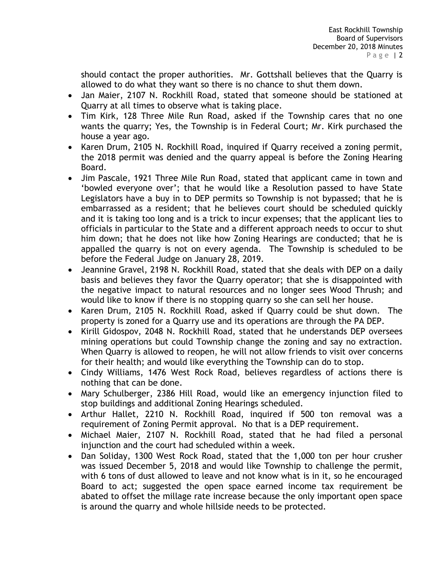should contact the proper authorities. Mr. Gottshall believes that the Quarry is allowed to do what they want so there is no chance to shut them down.

- Jan Maier, 2107 N. Rockhill Road, stated that someone should be stationed at Quarry at all times to observe what is taking place.
- Tim Kirk, 128 Three Mile Run Road, asked if the Township cares that no one wants the quarry; Yes, the Township is in Federal Court; Mr. Kirk purchased the house a year ago.
- Karen Drum, 2105 N. Rockhill Road, inquired if Quarry received a zoning permit, the 2018 permit was denied and the quarry appeal is before the Zoning Hearing Board.
- Jim Pascale, 1921 Three Mile Run Road, stated that applicant came in town and 'bowled everyone over'; that he would like a Resolution passed to have State Legislators have a buy in to DEP permits so Township is not bypassed; that he is embarrassed as a resident; that he believes court should be scheduled quickly and it is taking too long and is a trick to incur expenses; that the applicant lies to officials in particular to the State and a different approach needs to occur to shut him down; that he does not like how Zoning Hearings are conducted; that he is appalled the quarry is not on every agenda. The Township is scheduled to be before the Federal Judge on January 28, 2019.
- Jeannine Gravel, 2198 N. Rockhill Road, stated that she deals with DEP on a daily basis and believes they favor the Quarry operator; that she is disappointed with the negative impact to natural resources and no longer sees Wood Thrush; and would like to know if there is no stopping quarry so she can sell her house.
- Karen Drum, 2105 N. Rockhill Road, asked if Quarry could be shut down. The property is zoned for a Quarry use and its operations are through the PA DEP.
- Kirill Gidospov, 2048 N. Rockhill Road, stated that he understands DEP oversees mining operations but could Township change the zoning and say no extraction. When Quarry is allowed to reopen, he will not allow friends to visit over concerns for their health; and would like everything the Township can do to stop.
- Cindy Williams, 1476 West Rock Road, believes regardless of actions there is nothing that can be done.
- Mary Schulberger, 2386 Hill Road, would like an emergency injunction filed to stop buildings and additional Zoning Hearings scheduled.
- Arthur Hallet, 2210 N. Rockhill Road, inquired if 500 ton removal was a requirement of Zoning Permit approval. No that is a DEP requirement.
- Michael Maier, 2107 N. Rockhill Road, stated that he had filed a personal injunction and the court had scheduled within a week.
- Dan Soliday, 1300 West Rock Road, stated that the 1,000 ton per hour crusher was issued December 5, 2018 and would like Township to challenge the permit, with 6 tons of dust allowed to leave and not know what is in it, so he encouraged Board to act; suggested the open space earned income tax requirement be abated to offset the millage rate increase because the only important open space is around the quarry and whole hillside needs to be protected.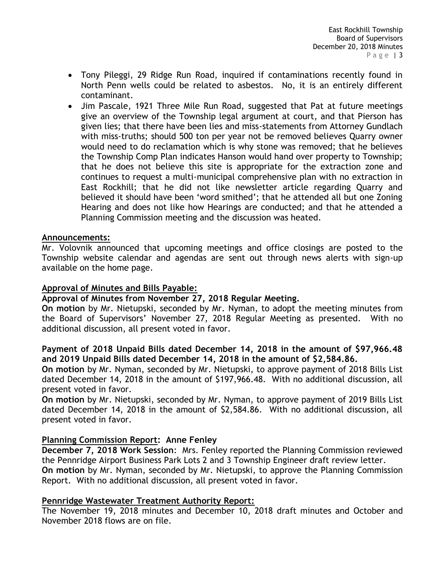- Tony Pileggi, 29 Ridge Run Road, inquired if contaminations recently found in North Penn wells could be related to asbestos. No, it is an entirely different contaminant.
- Jim Pascale, 1921 Three Mile Run Road, suggested that Pat at future meetings give an overview of the Township legal argument at court, and that Pierson has given lies; that there have been lies and miss-statements from Attorney Gundlach with miss-truths; should 500 ton per year not be removed believes Quarry owner would need to do reclamation which is why stone was removed; that he believes the Township Comp Plan indicates Hanson would hand over property to Township; that he does not believe this site is appropriate for the extraction zone and continues to request a multi-municipal comprehensive plan with no extraction in East Rockhill; that he did not like newsletter article regarding Quarry and believed it should have been 'word smithed'; that he attended all but one Zoning Hearing and does not like how Hearings are conducted; and that he attended a Planning Commission meeting and the discussion was heated.

#### **Announcements:**

Mr. Volovnik announced that upcoming meetings and office closings are posted to the Township website calendar and agendas are sent out through news alerts with sign-up available on the home page.

#### **Approval of Minutes and Bills Payable:**

**Approval of Minutes from November 27, 2018 Regular Meeting.**

**On motion** by Mr. Nietupski, seconded by Mr. Nyman, to adopt the meeting minutes from the Board of Supervisors' November 27, 2018 Regular Meeting as presented. With no additional discussion, all present voted in favor.

### **Payment of 2018 Unpaid Bills dated December 14, 2018 in the amount of \$97,966.48 and 2019 Unpaid Bills dated December 14, 2018 in the amount of \$2,584.86.**

**On motion** by Mr. Nyman, seconded by Mr. Nietupski, to approve payment of 2018 Bills List dated December 14, 2018 in the amount of \$197,966.48. With no additional discussion, all present voted in favor.

**On motion** by Mr. Nietupski, seconded by Mr. Nyman, to approve payment of 2019 Bills List dated December 14, 2018 in the amount of \$2,584.86. With no additional discussion, all present voted in favor.

### **Planning Commission Report: Anne Fenley**

**December 7, 2018 Work Session**: Mrs. Fenley reported the Planning Commission reviewed the Pennridge Airport Business Park Lots 2 and 3 Township Engineer draft review letter. **On motion** by Mr. Nyman, seconded by Mr. Nietupski, to approve the Planning Commission Report. With no additional discussion, all present voted in favor.

#### **Pennridge Wastewater Treatment Authority Report:**

The November 19, 2018 minutes and December 10, 2018 draft minutes and October and November 2018 flows are on file.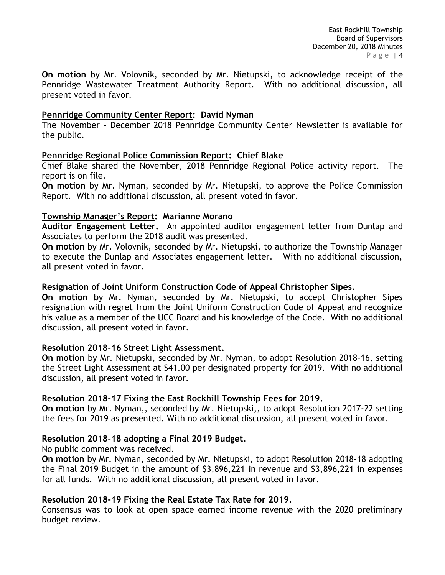East Rockhill Township Board of Supervisors December 20, 2018 Minutes Page | 4

**On motion** by Mr. Volovnik, seconded by Mr. Nietupski, to acknowledge receipt of the Pennridge Wastewater Treatment Authority Report. With no additional discussion, all present voted in favor.

#### **Pennridge Community Center Report: David Nyman**

The November - December 2018 Pennridge Community Center Newsletter is available for the public.

#### **Pennridge Regional Police Commission Report: Chief Blake**

Chief Blake shared the November, 2018 Pennridge Regional Police activity report. The report is on file.

**On motion** by Mr. Nyman, seconded by Mr. Nietupski, to approve the Police Commission Report. With no additional discussion, all present voted in favor.

#### **Township Manager's Report: Marianne Morano**

**Auditor Engagement Letter.** An appointed auditor engagement letter from Dunlap and Associates to perform the 2018 audit was presented.

**On motion** by Mr. Volovnik, seconded by Mr. Nietupski, to authorize the Township Manager to execute the Dunlap and Associates engagement letter. With no additional discussion, all present voted in favor.

#### **Resignation of Joint Uniform Construction Code of Appeal Christopher Sipes.**

**On motion** by Mr. Nyman, seconded by Mr. Nietupski, to accept Christopher Sipes resignation with regret from the Joint Uniform Construction Code of Appeal and recognize his value as a member of the UCC Board and his knowledge of the Code. With no additional discussion, all present voted in favor.

#### **Resolution 2018-16 Street Light Assessment.**

**On motion** by Mr. Nietupski, seconded by Mr. Nyman, to adopt Resolution 2018-16, setting the Street Light Assessment at \$41.00 per designated property for 2019. With no additional discussion, all present voted in favor.

#### **Resolution 2018-17 Fixing the East Rockhill Township Fees for 2019.**

**On motion** by Mr. Nyman,, seconded by Mr. Nietupski,, to adopt Resolution 2017-22 setting the fees for 2019 as presented. With no additional discussion, all present voted in favor.

### **Resolution 2018-18 adopting a Final 2019 Budget.**

No public comment was received.

**On motion** by Mr. Nyman, seconded by Mr. Nietupski, to adopt Resolution 2018-18 adopting the Final 2019 Budget in the amount of \$3,896,221 in revenue and \$3,896,221 in expenses for all funds. With no additional discussion, all present voted in favor.

### **Resolution 2018-19 Fixing the Real Estate Tax Rate for 2019.**

Consensus was to look at open space earned income revenue with the 2020 preliminary budget review.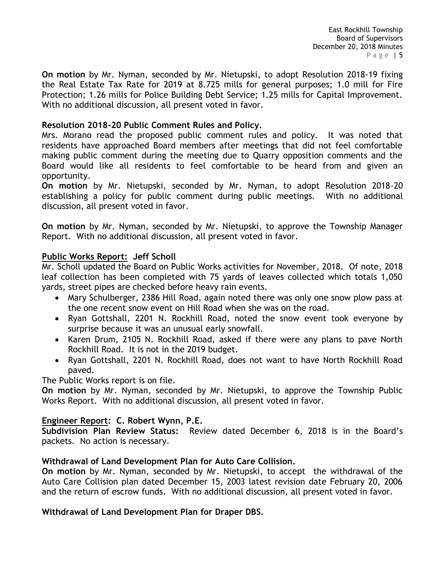East Rockhill Township Board of Supervisors December 20, 2018 Minutes P a g e | 5

**On motion** by Mr. Nyman, seconded by Mr. Nietupski, to adopt Resolution 2018-19 fixing the Real Estate Tax Rate for 2019 at 8.725 mills for general purposes; 1.0 mill for Fire Protection; 1.26 mills for Police Building Debt Service; 1.25 mills for Capital Improvement. With no additional discussion, all present voted in favor.

### **Resolution 2018-20 Public Comment Rules and Policy.**

Mrs. Morano read the proposed public comment rules and policy. It was noted that residents have approached Board members after meetings that did not feel comfortable making public comment during the meeting due to Quarry opposition comments and the Board would like all residents to feel comfortable to be heard from and given an opportunity.

**On motion** by Mr. Nietupski, seconded by Mr. Nyman, to adopt Resolution 2018-20 establishing a policy for public comment during public meetings. With no additional discussion, all present voted in favor.

**On motion** by Mr. Nyman, seconded by Mr. Nietupski, to approve the Township Manager Report. With no additional discussion, all present voted in favor.

### **Public Works Report: Jeff Scholl**

Mr. Scholl updated the Board on Public Works activities for November, 2018. Of note, 2018 leaf collection has been completed with 75 yards of leaves collected which totals 1,050 yards, street pipes are checked before heavy rain events.

- Mary Schulberger, 2386 Hill Road, again noted there was only one snow plow pass at the one recent snow event on Hill Road when she was on the road.
- Ryan Gottshall, 2201 N. Rockhill Road, noted the snow event took everyone by surprise because it was an unusual early snowfall.
- Karen Drum, 2105 N. Rockhill Road, asked if there were any plans to pave North Rockhill Road. It is not in the 2019 budget.
- Ryan Gottshall, 2201 N. Rockhill Road, does not want to have North Rockhill Road paved.

The Public Works report is on file.

**On motion** by Mr. Nyman, seconded by Mr. Nietupski, to approve the Township Public Works Report. With no additional discussion, all present voted in favor.

# **Engineer Report: C. Robert Wynn, P.E.**

**Subdivision Plan Review Status:** Review dated December 6, 2018 is in the Board's packets. No action is necessary.

### **Withdrawal of Land Development Plan for Auto Care Collision.**

**On motion** by Mr. Nyman, seconded by Mr. Nietupski, to accept the withdrawal of the Auto Care Collision plan dated December 15, 2003 latest revision date February 20, 2006 and the return of escrow funds. With no additional discussion, all present voted in favor.

### **Withdrawal of Land Development Plan for Draper DBS.**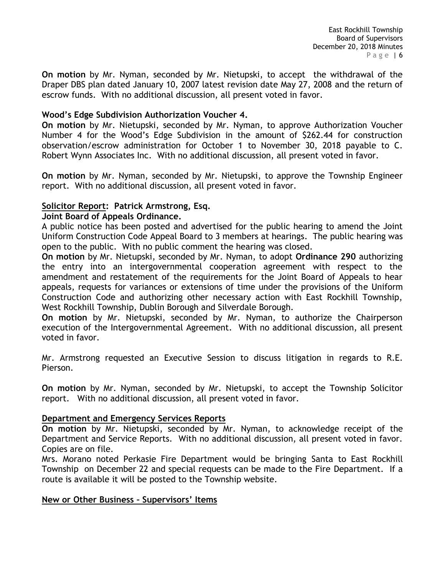East Rockhill Township Board of Supervisors December 20, 2018 Minutes Page  $6$ 

**On motion** by Mr. Nyman, seconded by Mr. Nietupski, to accept the withdrawal of the Draper DBS plan dated January 10, 2007 latest revision date May 27, 2008 and the return of escrow funds. With no additional discussion, all present voted in favor.

#### **Wood's Edge Subdivision Authorization Voucher 4.**

**On motion** by Mr. Nietupski, seconded by Mr. Nyman, to approve Authorization Voucher Number 4 for the Wood's Edge Subdivision in the amount of \$262.44 for construction observation/escrow administration for October 1 to November 30, 2018 payable to C. Robert Wynn Associates Inc. With no additional discussion, all present voted in favor.

**On motion** by Mr. Nyman, seconded by Mr. Nietupski, to approve the Township Engineer report. With no additional discussion, all present voted in favor.

#### **Solicitor Report: Patrick Armstrong, Esq.**

#### **Joint Board of Appeals Ordinance.**

A public notice has been posted and advertised for the public hearing to amend the Joint Uniform Construction Code Appeal Board to 3 members at hearings. The public hearing was open to the public. With no public comment the hearing was closed.

**On motion** by Mr. Nietupski, seconded by Mr. Nyman, to adopt **Ordinance 290** authorizing the entry into an intergovernmental cooperation agreement with respect to the amendment and restatement of the requirements for the Joint Board of Appeals to hear appeals, requests for variances or extensions of time under the provisions of the Uniform Construction Code and authorizing other necessary action with East Rockhill Township, West Rockhill Township, Dublin Borough and Silverdale Borough.

**On motion** by Mr. Nietupski, seconded by Mr. Nyman, to authorize the Chairperson execution of the Intergovernmental Agreement. With no additional discussion, all present voted in favor.

Mr. Armstrong requested an Executive Session to discuss litigation in regards to R.E. Pierson.

**On motion** by Mr. Nyman, seconded by Mr. Nietupski, to accept the Township Solicitor report. With no additional discussion, all present voted in favor.

### **Department and Emergency Services Reports**

**On motion** by Mr. Nietupski, seconded by Mr. Nyman, to acknowledge receipt of the Department and Service Reports. With no additional discussion, all present voted in favor. Copies are on file.

Mrs. Morano noted Perkasie Fire Department would be bringing Santa to East Rockhill Township on December 22 and special requests can be made to the Fire Department. If a route is available it will be posted to the Township website.

### **New or Other Business – Supervisors' Items**